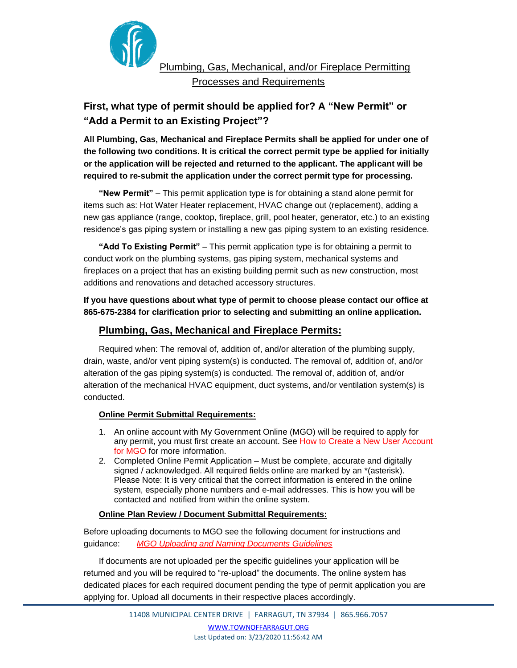

Plumbing, Gas, Mechanical, and/or Fireplace Permitting Processes and Requirements

# **First, what type of permit should be applied for? A "New Permit" or "Add a Permit to an Existing Project"?**

**All Plumbing, Gas, Mechanical and Fireplace Permits shall be applied for under one of the following two conditions. It is critical the correct permit type be applied for initially or the application will be rejected and returned to the applicant. The applicant will be required to re-submit the application under the correct permit type for processing.** 

**"New Permit"** – This permit application type is for obtaining a stand alone permit for items such as: Hot Water Heater replacement, HVAC change out (replacement), adding a new gas appliance (range, cooktop, fireplace, grill, pool heater, generator, etc.) to an existing residence's gas piping system or installing a new gas piping system to an existing residence.

**"Add To Existing Permit"** – This permit application type is for obtaining a permit to conduct work on the plumbing systems, gas piping system, mechanical systems and fireplaces on a project that has an existing building permit such as new construction, most additions and renovations and detached accessory structures.

**If you have questions about what type of permit to choose please contact our office at 865-675-2384 for clarification prior to selecting and submitting an online application.**

# **Plumbing, Gas, Mechanical and Fireplace Permits:**

Required when: The removal of, addition of, and/or alteration of the plumbing supply, drain, waste, and/or vent piping system(s) is conducted. The removal of, addition of, and/or alteration of the gas piping system(s) is conducted. The removal of, addition of, and/or alteration of the mechanical HVAC equipment, duct systems, and/or ventilation system(s) is conducted.

# **Online Permit Submittal Requirements:**

- 1. An online account with My Government Online (MGO) will be required to apply for any [permit, you must first create an account. See How to Create a New User Account](http://townoffarragut.org/DocumentCenter/View/5174/How-to-Create-a-New-User-Account-for-MGO)  for MGO for more information.
- 2. Completed Online Permit Application Must be complete, accurate and digitally signed / acknowledged. All required fields online are marked by an \*(asterisk). Please Note: It is very critical that the correct information is entered in the online system, especially phone numbers and e-mail addresses. This is how you will be contacted and notified from within the online system.

#### **Online Plan Review / Document Submittal Requirements:**

Before uploading documents to MGO see the following document for instructions and guidance: *[MGO Uploading and Naming Documents Guidelines](http://townoffarragut.org/DocumentCenter/View/5175/MGO-Uploading-and-Naming-Documents-Guidelines)*

If documents are not uploaded per the specific guidelines your application will be returned and you will be required to "re-upload" the documents. The online system has dedicated places for each required document pending the type of permit application you are applying for. Upload all documents in their respective places accordingly.